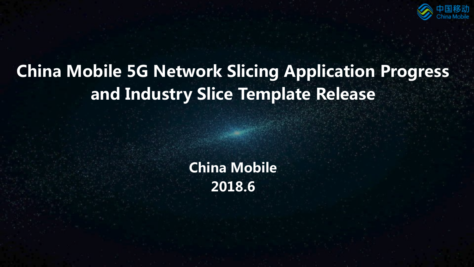

# China Mobile 5G Network Slicing Application Progress and Industry Slice Template Release

China Mobile 2018.6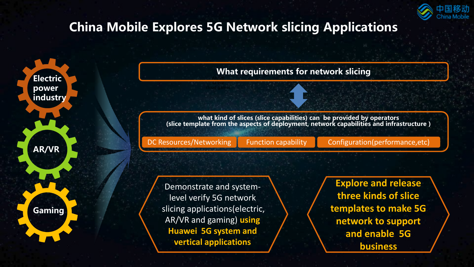

## China Mobile Explores 5G Network slicing Applications

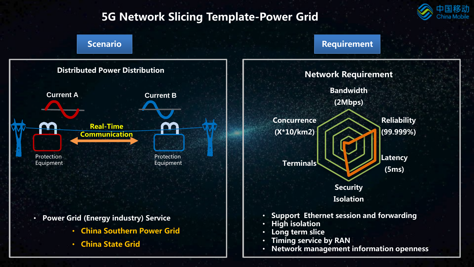## 5G Network Slicing Template-Power Grid



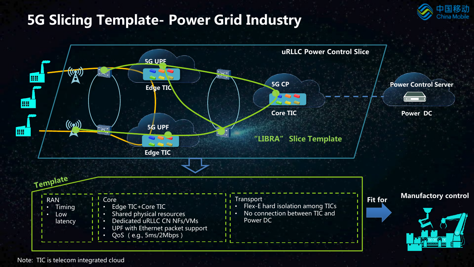## 5G Slicing Template- Power Grid Industry





Note: TIC is telecom integrated cloud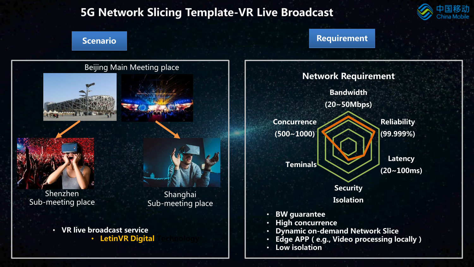### 5G Network Slicing Template-VR Live Broadcast



#### Scenario **Requirement**

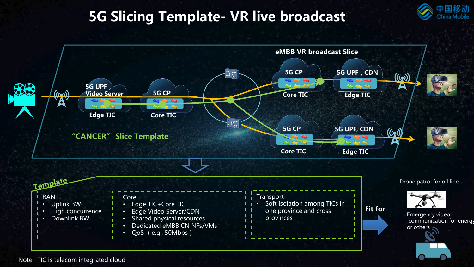## 5G Slicing Template- VR live broadcast



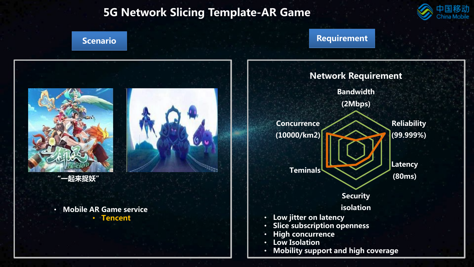### 5G Network Slicing Template-AR Game



Scenario **Requirement** 





#### • Mobile AR Game service **Tencent**



#### **Bandwidth** (2Mbps) **Reliability** (99.999%) Latency (80ms) **Security** isolation Teminals **Concurrence** (10000/km2) Network Requirement • Low jitter on latency Slice subscription openness • High concurrence Low Isolation

• Mobility support and high coverage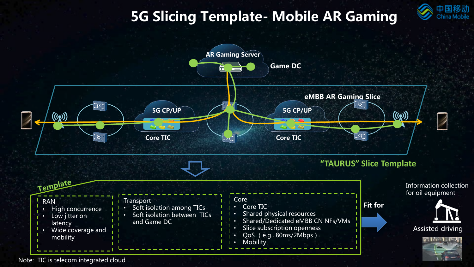# 5G Slicing Template- Mobile AR Gaming

多动



Note: TIC is telecom integrated cloud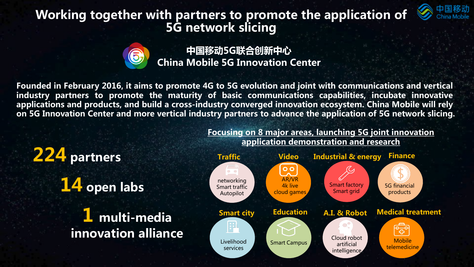## Working together with partners to promote the application of 5G network slicing



China Mobile 5G Innovation Center 中国移动5G联合创新中心

Founded in February 2016, it aims to promote 4G to 5G evolution and joint with communications and vertical industry partners to promote the maturity of basic communications capabilities, incubate innovative applications and products, and build a cross-industry converged innovation ecosystem. China Mobile will rely on 5G Innovation Center and more vertical industry partners to advance the application of 5G network slicing.